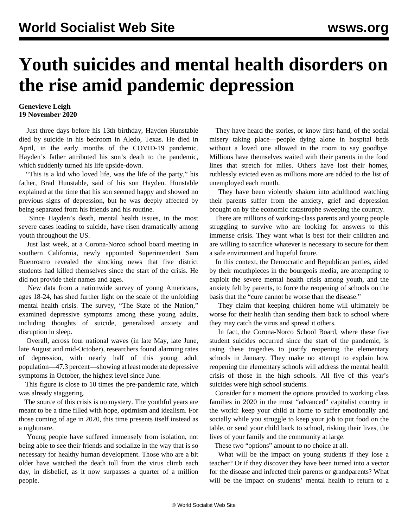## **Youth suicides and mental health disorders on the rise amid pandemic depression**

## **Genevieve Leigh 19 November 2020**

 Just three days before his 13th birthday, Hayden Hunstable died by suicide in his bedroom in Aledo, Texas. He died in April, in the early months of the COVID-19 pandemic. Hayden's father attributed his son's death to the pandemic, which suddenly turned his life upside-down.

 "This is a kid who loved life, was the life of the party," his father, Brad Hunstable, said of his son Hayden. Hunstable explained at the time that his son seemed happy and showed no previous signs of depression, but he was deeply affected by being separated from his friends and his routine.

 Since Hayden's death, mental health issues, in the most severe cases leading to suicide, have risen dramatically among youth throughout the US.

 Just last week, at a Corona-Norco school board meeting in southern California, newly appointed Superintendent Sam Buenrostro revealed the shocking news that five district students had killed themselves since the start of the crisis. He did not provide their names and ages.

 New data from a nationwide [survey](http://www.kateto.net/covid19/COVID19%20CONSORTIUM%20REPORT%2023%20MENTAL%20HEALTH%20NOV%202020.pdf) of young Americans, ages 18-24, has shed further light on the scale of the unfolding mental health crisis. The survey, "The State of the Nation," examined depressive symptoms among these young adults, including thoughts of suicide, generalized anxiety and disruption in sleep.

 Overall, across four national waves (in late May, late June, late August and mid-October), researchers found alarming rates of depression, with nearly half of this young adult population—47.3 percent—showing at least moderate depressive symptoms in October, the highest level since June.

 This figure is close to 10 times the pre-pandemic rate, which was already staggering.

 The source of this crisis is no mystery. The youthful years are meant to be a time filled with hope, optimism and idealism. For those coming of age in 2020, this time presents itself instead as a nightmare.

 Young people have suffered immensely from isolation, not being able to see their friends and socialize in the way that is so necessary for healthy human development. Those who are a bit older have watched the death toll from the virus climb each day, in disbelief, as it now surpasses a quarter of a million people.

 They have heard the stories, or know first-hand, of the social misery taking place—people dying alone in hospital beds without a loved one allowed in the room to say goodbye. Millions have themselves waited with their parents in the food lines that stretch for miles. Others have lost their homes, ruthlessly evicted even as millions more are added to the list of unemployed each month.

 They have been violently shaken into adulthood watching their parents suffer from the anxiety, grief and depression brought on by the economic catastrophe sweeping the country.

 There are millions of working-class parents and young people struggling to survive who are looking for answers to this immense crisis. They want what is best for their children and are willing to sacrifice whatever is necessary to secure for them a safe environment and hopeful future.

 In this context, the Democratic and Republican parties, aided by their mouthpieces in the bourgeois media, are attempting to exploit the severe mental health crisis among youth, and the anxiety felt by parents, to force the reopening of schools on the basis that the "cure cannot be worse than the disease."

 They claim that keeping children home will ultimately be worse for their health than sending them back to school where they may catch the virus and spread it others.

 In fact, the Corona-Norco School Board, where these five student suicides occurred since the start of the pandemic, is using these tragedies to justify reopening the elementary schools in January. They make no attempt to explain how reopening the elementary schools will address the mental health crisis of those in the high schools. All five of this year's suicides were high school students.

 Consider for a moment the options provided to working class families in 2020 in the most "advanced" capitalist country in the world: keep your child at home to suffer emotionally and socially while you struggle to keep your job to put food on the table, or send your child back to school, risking their lives, the lives of your family and the community at large.

These two "options" amount to no choice at all.

 What will be the impact on young students if they lose a teacher? Or if they discover they have been turned into a vector for the disease and infected their parents or grandparents? What will be the impact on students' mental health to return to a